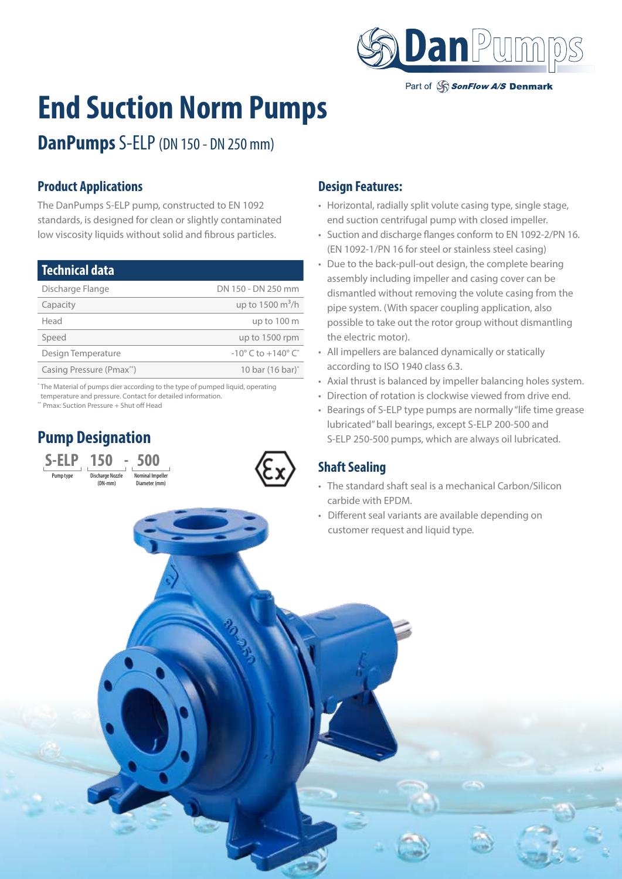

Part of SonFlow A/S Denmark

# **End Suction Norm Pumps**

**DanPumps** S-ELP (DN 150 - DN 250 mm)

#### **Product Applications**

The DanPumps S-ELP pump, constructed to EN 1092 standards, is designed for clean or slightly contaminated low viscosity liquids without solid and fibrous particles.

| <b>Technical data</b>    |                                                  |
|--------------------------|--------------------------------------------------|
| Discharge Flange         | DN 150 - DN 250 mm                               |
| Capacity                 | up to $1500 \text{ m}^3/h$                       |
| Head                     | up to 100 m                                      |
| Speed                    | up to 1500 rpm                                   |
| Design Temperature       | $-10^{\circ}$ C to $+140^{\circ}$ C <sup>*</sup> |
| Casing Pressure (Pmax**) | 10 bar (16 bar) <sup>*</sup>                     |

\* The Material of pumps dier according to the type of pumped liquid, operating temperature and pressure. Contact for detailed information.

> ninal Impelle Diameter (mm)

\*\* Pmax: Suction Pressure + Shut off Head

Pump Nozzle<br>Prima Nozzle (DN-mm)

**S-ELP 150 - 500** 

# **Pump Designation**



- Horizontal, radially split volute casing type, single stage, end suction centrifugal pump with closed impeller.
- Suction and discharge flanges conform to EN 1092-2/PN 16. (EN 1092-1/PN 16 for steel or stainless steel casing)
- Due to the back-pull-out design, the complete bearing assembly including impeller and casing cover can be dismantled without removing the volute casing from the pipe system. (With spacer coupling application, also possible to take out the rotor group without dismantling the electric motor).
- All impellers are balanced dynamically or statically according to ISO 1940 class 6.3.
- Axial thrust is balanced by impeller balancing holes system.
- Direction of rotation is clockwise viewed from drive end.
- Bearings of S-ELP type pumps are normally "life time grease lubricated" ball bearings, except S-ELP 200-500 and S-ELP 250-500 pumps, which are always oil lubricated.

### **Shaft Sealing**

- The standard shaft seal is a mechanical Carbon/Silicon carbide with EPDM.
- Different seal variants are available depending on customer request and liquid type.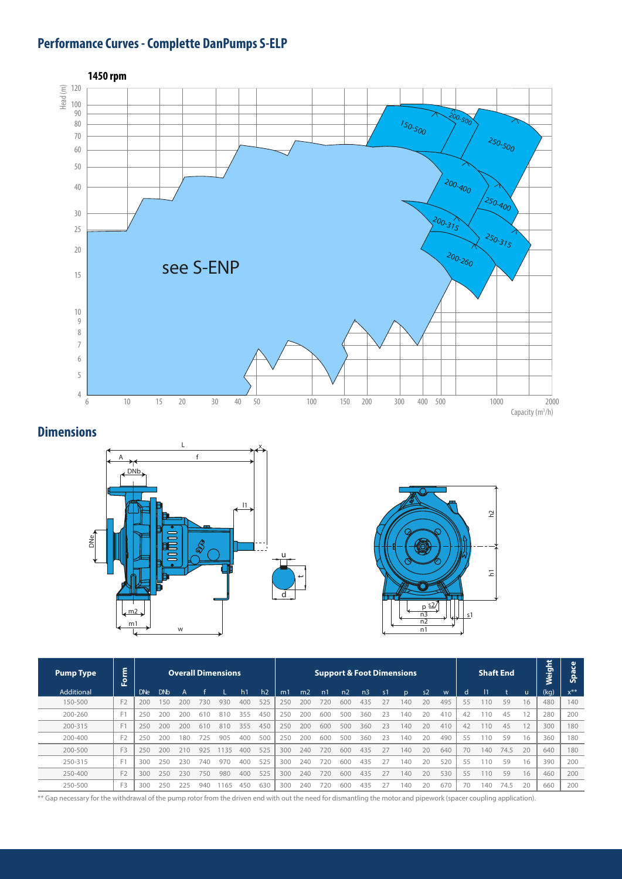# **Performance Curves - Complette DanPumps S-ELP**



#### **Dimensions**





| <b>Pump Type</b> | ٤<br>-<br>$\mathbf{P}$ | <b>Overall Dimensions</b> |            |     |     |     |     |     | <b>Support &amp; Foot Dimensions</b> |                |                |                |                |                |     |                |     |              | <b>Shaft End</b> | Weight | <b>Space</b> |      |          |
|------------------|------------------------|---------------------------|------------|-----|-----|-----|-----|-----|--------------------------------------|----------------|----------------|----------------|----------------|----------------|-----|----------------|-----|--------------|------------------|--------|--------------|------|----------|
| Additional       |                        | <b>DNe</b>                | <b>DNb</b> |     |     |     | h1  | h2  | m1                                   | m <sub>2</sub> | n <sub>1</sub> | n <sub>2</sub> | n <sub>3</sub> | $\mathsf{s}$ 1 | n   | s <sub>2</sub> | W   | <sub>d</sub> |                  |        | -u           | (kg) | $x^{**}$ |
| 150-500          | F <sub>2</sub>         | 200                       | 150        | 200 | 730 | 930 | 400 | 525 | 250                                  | 200            | 720            | 600            | 435            | 27             | 140 | 20             | 495 | 55           | 10               | 59     | 16           | 480  | 140      |
| 200-260          | F <sub>1</sub>         | 250                       | 200        | 200 | 610 | 810 | 355 | 450 | 250                                  | 200            | 600            | 500            | 360            | 23             | 140 | 20             | 410 | 42           | 110              | 45     | 12           | 280  | 200      |
| 200-315          | F                      | 250                       | 200        | 200 | 610 | 810 | 355 | 450 | 250                                  | 200            | 600            | 500            | 360            | 23             | 140 | 20             | 410 | 42           | 110              | 45     | 12           | 300  | 180      |
| 200-400          | F <sub>2</sub>         | 250                       | 200        | 180 | 725 | 905 | 400 | 500 | 250                                  | 200            | 600            | 500            | 360            | 23             | 140 | 20             | 490 | 55           | 110              | 59     | 16           | 360  | 180      |
| 200-500          | F <sub>3</sub>         | 250                       | 200        | 210 | 925 | 135 | 400 | 525 | 300                                  | 240            | 720            | 600            | 435            | 27             | 140 | 20             | 640 | 70           | 140              | 74.5   | 20           | 640  | 180      |
| 250-315          | F1                     | 300                       | 250        | 230 | 740 | 970 | 400 | 525 | 300                                  | 740            | 720            | 600            | -435           | フフ             | 40  | 20             | 520 | 55           | 10               | 59     | 16           | 390  | 200      |
| 250-400          | F <sub>2</sub>         | 300                       | 250        | 230 | 750 | 980 | 400 | 525 | 300                                  | 240            | 720            | 600            | 435            | 27             | 140 | 20             | 530 | 55           | 110              | 59     | 16           | 460  | 200      |
| 250-500          | F3                     | 300                       | 250        | 225 | 940 | 165 | 450 | 630 | 300                                  | 240            | 720            | 600            | 435            | 27             | 140 | 20             | 670 | 70           | 140              | 74.5   | 20           | 660  | 200      |

\*\* Gap necessary for the withdrawal of the pump rotor from the driven end with out the need for dismantling the motor and pipework (spacer coupling application).